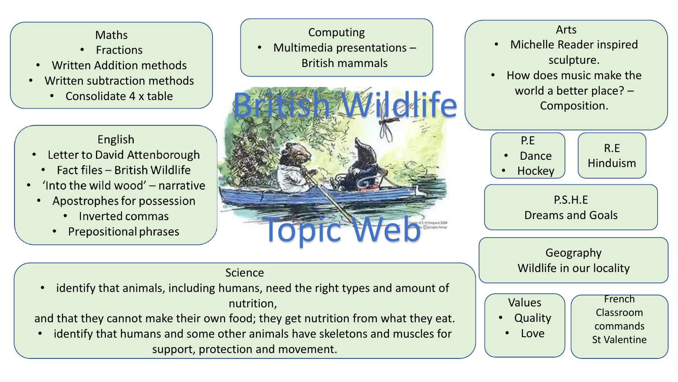### Maths

- Fractions
- Written Addition methods
- Written subtraction methods
	- Consolidate 4 x table

### English

- Letter to David Attenborough  $\bullet$ 
	- Fact files British Wildlife
- 'Into the wild wood' narrative
	- Apostrophes for possession
		- Inverted commas
		- Prepositional phrases

# **Letite** Computing • Multimedia presentations – British mammals Topic Web

## Arts • Michelle Reader inspired

sculpture.

• How does music make the world a better place? – Composition.



#### Science

• identify that animals, including humans, need the right types and amount of nutrition,

and that they cannot make their own food; they get nutrition from what they eat.

• identify that humans and some other animals have skeletons and muscles for support, protection and movement.